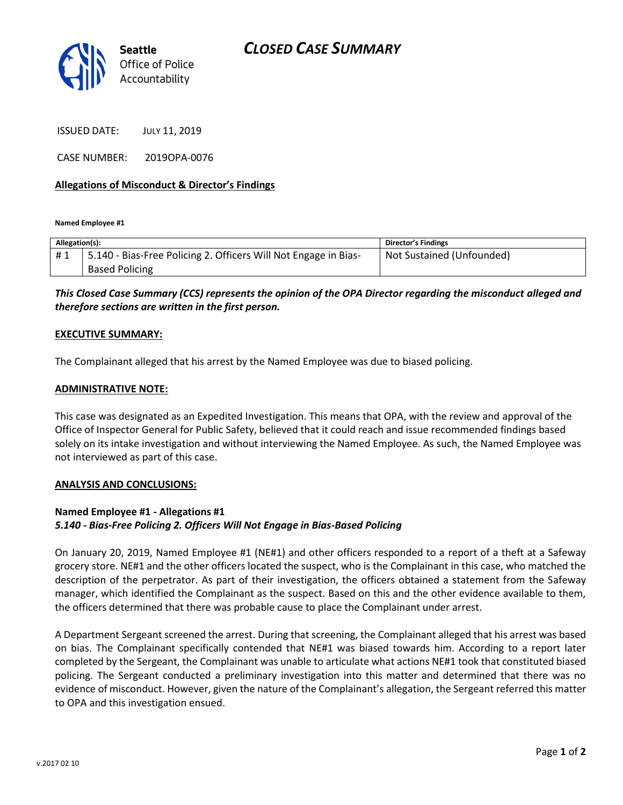

ISSUED DATE: JULY 11, 2019

CASE NUMBER: 2019OPA-0076

### **Allegations of Misconduct & Director's Findings**

**Named Employee #1**

| Allegation(s): |                                                                 | Director's Findings       |
|----------------|-----------------------------------------------------------------|---------------------------|
| #1             | 5.140 - Bias-Free Policing 2. Officers Will Not Engage in Bias- | Not Sustained (Unfounded) |
|                | <b>Based Policing</b>                                           |                           |

# *This Closed Case Summary (CCS) represents the opinion of the OPA Director regarding the misconduct alleged and therefore sections are written in the first person.*

#### **EXECUTIVE SUMMARY:**

The Complainant alleged that his arrest by the Named Employee was due to biased policing.

#### **ADMINISTRATIVE NOTE:**

This case was designated as an Expedited Investigation. This means that OPA, with the review and approval of the Office of Inspector General for Public Safety, believed that it could reach and issue recommended findings based solely on its intake investigation and without interviewing the Named Employee. As such, the Named Employee was not interviewed as part of this case.

#### **ANALYSIS AND CONCLUSIONS:**

## **Named Employee #1 - Allegations #1** *5.140 - Bias-Free Policing 2. Officers Will Not Engage in Bias-Based Policing*

On January 20, 2019, Named Employee #1 (NE#1) and other officers responded to a report of a theft at a Safeway grocery store. NE#1 and the other officers located the suspect, who is the Complainant in this case, who matched the description of the perpetrator. As part of their investigation, the officers obtained a statement from the Safeway manager, which identified the Complainant as the suspect. Based on this and the other evidence available to them, the officers determined that there was probable cause to place the Complainant under arrest.

A Department Sergeant screened the arrest. During that screening, the Complainant alleged that his arrest was based on bias. The Complainant specifically contended that NE#1 was biased towards him. According to a report later completed by the Sergeant, the Complainant was unable to articulate what actions NE#1 took that constituted biased policing. The Sergeant conducted a preliminary investigation into this matter and determined that there was no evidence of misconduct. However, given the nature of the Complainant's allegation, the Sergeant referred this matter to OPA and this investigation ensued.